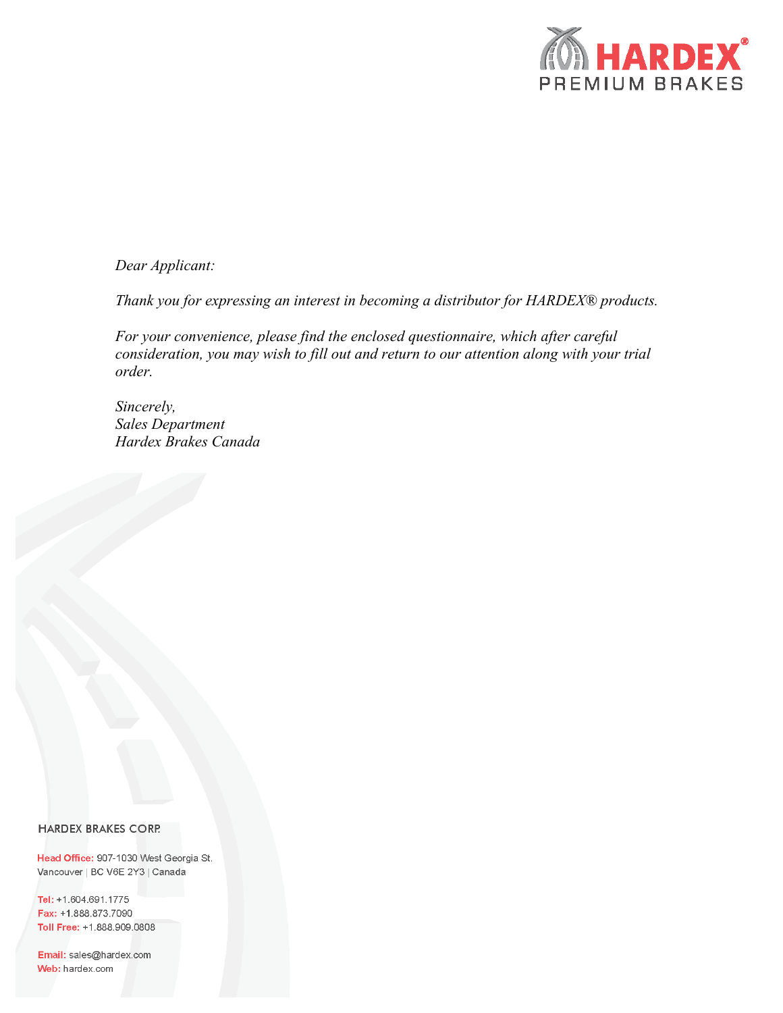

# *Dear Applicant:*

*Thank you for expressing an interest in becoming a distributor for HARDEX® products.* 

*For your convenience, please find the enclosed questionnaire, which after careful consideration, you may wish to fill out and return to our attention along with your trial order.*

*Sincerely, Sales Department Hardex Brakes Canada*

#### **HARDEX BRAKES CORP.**

Head Office: 907-1030 West Georgia St. Vancouver | BC V6E 2Y3 | Canada

Tel: +1.604.691.1775 Fax: +1.888.873.7090 Toll Free: +1.888.909.0808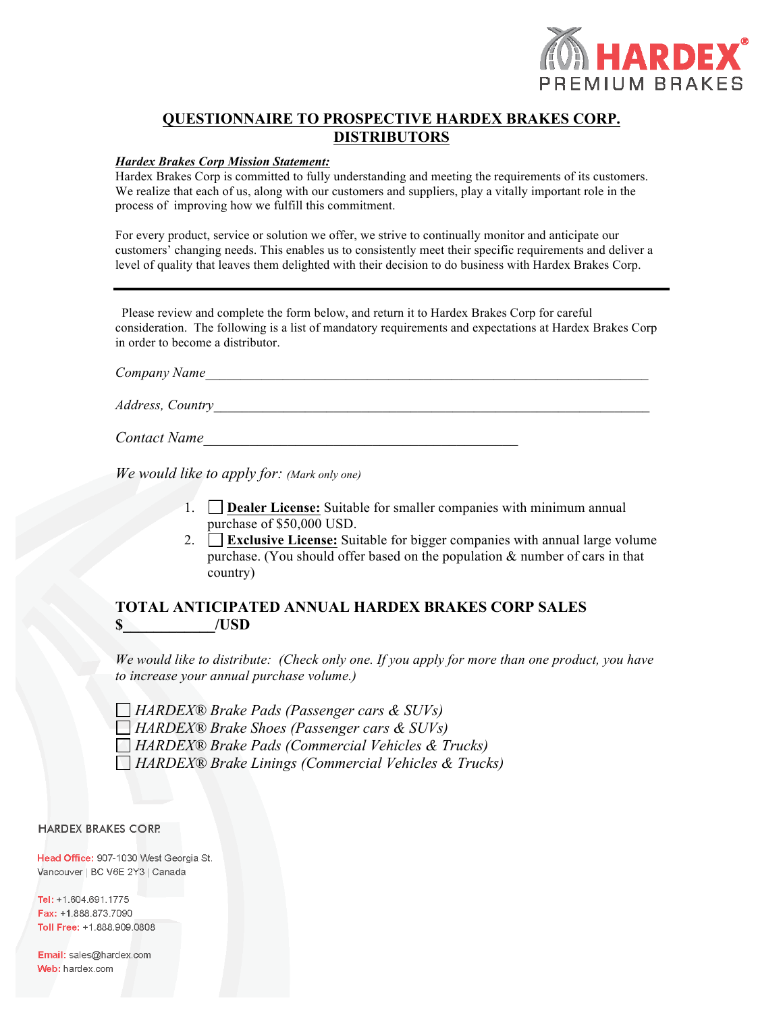

# **QUESTIONNAIRE TO PROSPECTIVE HARDEX BRAKES CORP. DISTRIBUTORS**

### *Hardex Brakes Corp Mission Statement:*

Hardex Brakes Corp is committed to fully understanding and meeting the requirements of its customers. We realize that each of us, along with our customers and suppliers, play a vitally important role in the process of improving how we fulfill this commitment.

For every product, service or solution we offer, we strive to continually monitor and anticipate our customers' changing needs. This enables us to consistently meet their specific requirements and deliver a level of quality that leaves them delighted with their decision to do business with Hardex Brakes Corp.

 Please review and complete the form below, and return it to Hardex Brakes Corp for careful consideration. The following is a list of mandatory requirements and expectations at Hardex Brakes Corp in order to become a distributor.

*Company Name\_\_\_\_\_\_\_\_\_\_\_\_\_\_\_\_\_\_\_\_\_\_\_\_\_\_\_\_\_\_\_\_\_\_\_\_\_\_\_\_\_\_\_\_\_\_\_\_\_\_\_\_\_\_\_\_\_\_\_\_\_\_\_*

*Address, Country\_\_\_\_\_\_\_\_\_\_\_\_\_\_\_\_\_\_\_\_\_\_\_\_\_\_\_\_\_\_\_\_\_\_\_\_\_\_\_\_\_\_\_\_\_\_\_\_\_\_\_\_\_\_\_\_\_\_\_\_\_\_*

*Contact Name* 

*We would like to apply for: (Mark only one)*

- 1. **Dealer License:** Suitable for smaller companies with minimum annual purchase of \$50,000 USD.
- 2. **Exclusive License:** Suitable for bigger companies with annual large volume purchase. (You should offer based on the population & number of cars in that country)

# **TOTAL ANTICIPATED ANNUAL HARDEX BRAKES CORP SALES \$\_\_\_\_\_\_\_\_\_\_\_\_/USD**

*We would like to distribute: (Check only one. If you apply for more than one product, you have to increase your annual purchase volume.)*

*HARDEX® Brake Pads (Passenger cars & SUVs) HARDEX® Brake Shoes (Passenger cars & SUVs) HARDEX® Brake Pads (Commercial Vehicles & Trucks) HARDEX® Brake Linings (Commercial Vehicles & Trucks)*

#### **HARDEX BRAKES CORP.**

Head Office: 907-1030 West Georgia St. Vancouver | BC V6E 2Y3 | Canada

Tel: +1.604.691.1775 Fax: +1.888.873.7090 Toll Free: +1.888.909.0808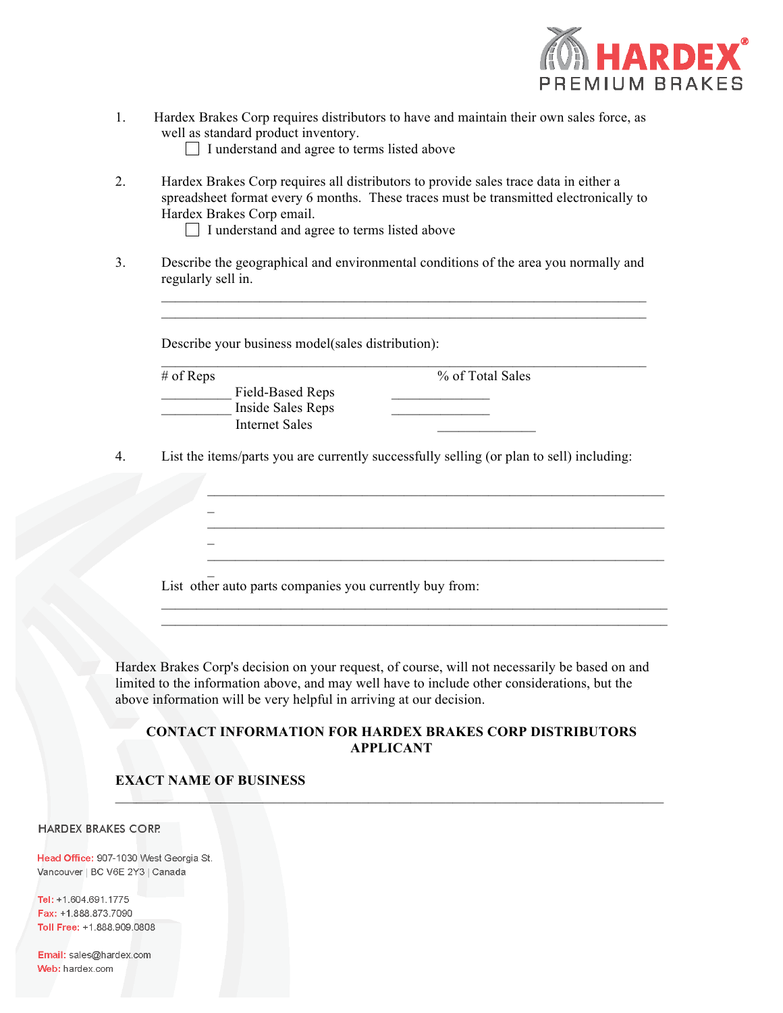

1. Hardex Brakes Corp requires distributors to have and maintain their own sales force, as well as standard product inventory.

I understand and agree to terms listed above

- 2. Hardex Brakes Corp requires all distributors to provide sales trace data in either a spreadsheet format every 6 months. These traces must be transmitted electronically to Hardex Brakes Corp email.
	- I understand and agree to terms listed above
- 3. Describe the geographical and environmental conditions of the area you normally and regularly sell in.

| Describe your business model(sales distribution): |                  |
|---------------------------------------------------|------------------|
| $#$ of Reps                                       | % of Total Sales |
| Field-Based Reps                                  |                  |
| Inside Sales Reps                                 |                  |
| <b>Internet Sales</b>                             |                  |

 $\mathcal{L}_\text{max} = \mathcal{L}_\text{max} = \mathcal{L}_\text{max} = \mathcal{L}_\text{max} = \mathcal{L}_\text{max} = \mathcal{L}_\text{max} = \mathcal{L}_\text{max} = \mathcal{L}_\text{max} = \mathcal{L}_\text{max} = \mathcal{L}_\text{max} = \mathcal{L}_\text{max} = \mathcal{L}_\text{max} = \mathcal{L}_\text{max} = \mathcal{L}_\text{max} = \mathcal{L}_\text{max} = \mathcal{L}_\text{max} = \mathcal{L}_\text{max} = \mathcal{L}_\text{max} = \mathcal{$ 

 $\mathcal{L}_\text{max} = \mathcal{L}_\text{max} = \mathcal{L}_\text{max} = \mathcal{L}_\text{max} = \mathcal{L}_\text{max} = \mathcal{L}_\text{max} = \mathcal{L}_\text{max} = \mathcal{L}_\text{max} = \mathcal{L}_\text{max} = \mathcal{L}_\text{max} = \mathcal{L}_\text{max} = \mathcal{L}_\text{max} = \mathcal{L}_\text{max} = \mathcal{L}_\text{max} = \mathcal{L}_\text{max} = \mathcal{L}_\text{max} = \mathcal{L}_\text{max} = \mathcal{L}_\text{max} = \mathcal{$ 

List other auto parts companies you currently buy from:

Hardex Brakes Corp's decision on your request, of course, will not necessarily be based on and limited to the information above, and may well have to include other considerations, but the above information will be very helpful in arriving at our decision.

# **CONTACT INFORMATION FOR HARDEX BRAKES CORP DISTRIBUTORS APPLICANT**

 $\Box$  , and the contribution of the contribution of the contribution of the contribution of the contribution of

# **EXACT NAME OF BUSINESS**

 $\overline{a}$ 

 $\overline{a}$ 

#### **HARDEX BRAKES CORP.**

Head Office: 907-1030 West Georgia St. Vancouver | BC V6E 2Y3 | Canada

Tel: +1.604.691.1775 Fax: +1.888.873.7090 Toll Free: +1.888.909.0808